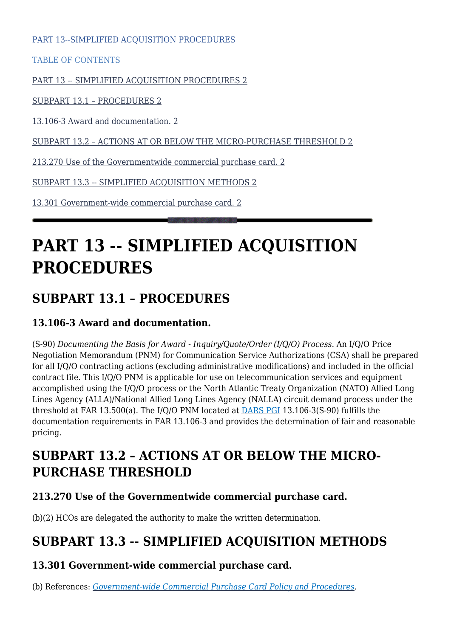PART 13--SIMPLIFIED ACQUISITION PROCEDURES

TABLE OF CONTENTS

[PART 13 -- SIMPLIFIED ACQUISITION PROCEDURES 2](#page--1-0)

[SUBPART 13.1 – PROCEDURES 2](#page--1-0)

[13.106-3 Award and documentation. 2](#page--1-0)

[SUBPART 13.2 – ACTIONS AT OR BELOW THE MICRO-PURCHASE THRESHOLD 2](#page--1-0)

[213.270 Use of the Governmentwide commercial purchase card. 2](#page--1-0)

[SUBPART 13.3 -- SIMPLIFIED ACQUISITION METHODS 2](#page--1-0)

[13.301 Government-wide commercial purchase card. 2](#page--1-0)

# **PART 13 -- SIMPLIFIED ACQUISITION PROCEDURES**

### **SUBPART 13.1 – PROCEDURES**

#### **13.106-3 Award and documentation.**

(S-90) *Documenting the Basis for Award - Inquiry/Quote/Order (I/Q/O) Process*. An I/Q/O Price Negotiation Memorandum (PNM) for Communication Service Authorizations (CSA) shall be prepared for all I/Q/O contracting actions (excluding administrative modifications) and included in the official contract file. This I/Q/O PNM is applicable for use on telecommunication services and equipment accomplished using the I/Q/O process or the North Atlantic Treaty Organization (NATO) Allied Long Lines Agency (ALLA)/National Allied Long Lines Agency (NALLA) circuit demand process under the threshold at FAR 13.500(a). The I/Q/O PNM located at [DARS PGI](https://disa.deps.mil/org/PL2/Pages/DITCORefs.aspx) 13.106-3(S-90) fulfills the documentation requirements in FAR 13.106-3 and provides the determination of fair and reasonable pricing.

### **SUBPART 13.2 – ACTIONS AT OR BELOW THE MICRO-PURCHASE THRESHOLD**

#### **213.270 Use of the Governmentwide commercial purchase card.**

(b)(2) HCOs are delegated the authority to make the written determination.

## **SUBPART 13.3 -- SIMPLIFIED ACQUISITION METHODS**

### **13.301 Government-wide commercial purchase card.**

(b) References: *[Government-wide Commercial Purchase Card Policy and Procedures](https://www.ditco.disa.mil/hq/deskbooks.asp)*.